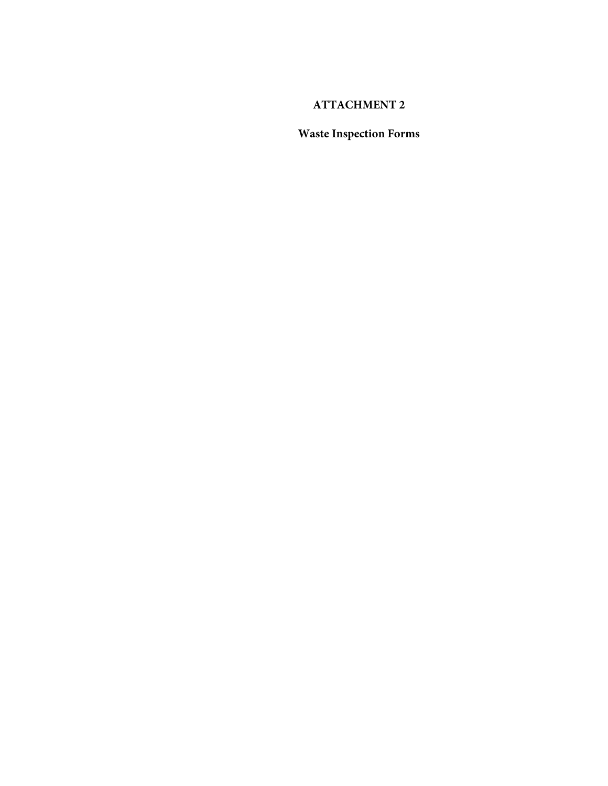### **ATTACHMENT 2**

# **Waste Inspection Forms**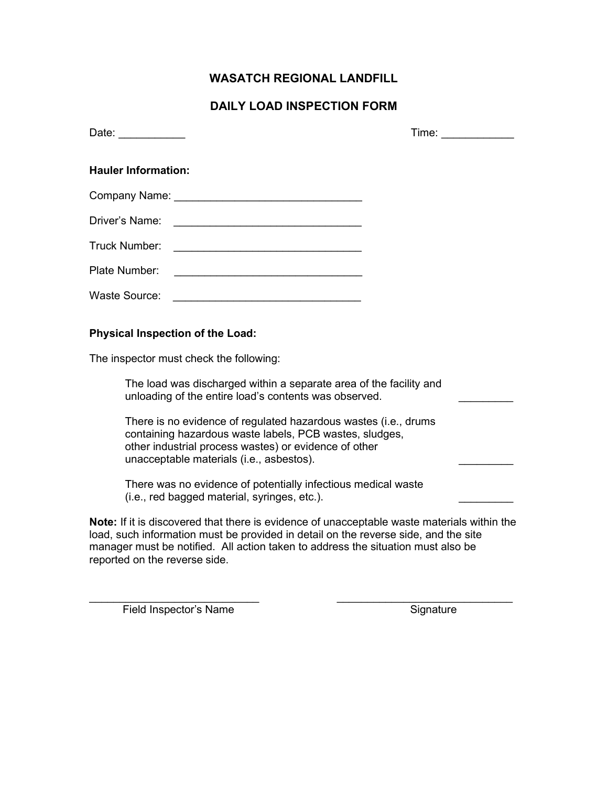## WASATCH REGIONAL LANDFILL

### DAILY LOAD INSPECTION FORM

| Date: the contract of the contract of the contract of the contract of the contract of the contract of the contract of the contract of the contract of the contract of the contract of the contract of the contract of the cont                                                                                 | Time: ___________ |  |
|----------------------------------------------------------------------------------------------------------------------------------------------------------------------------------------------------------------------------------------------------------------------------------------------------------------|-------------------|--|
| <b>Hauler Information:</b>                                                                                                                                                                                                                                                                                     |                   |  |
|                                                                                                                                                                                                                                                                                                                |                   |  |
| Driver's Name:                                                                                                                                                                                                                                                                                                 |                   |  |
| <b>Truck Number:</b><br><u> 1989 - Johann Barbara, martin amerikan basar dan basa dan basa dan basa dalam basa dalam basa dalam basa dala</u>                                                                                                                                                                  |                   |  |
| Plate Number:<br><u> 1989 - Johann Barbara, martxa alemaniar a</u>                                                                                                                                                                                                                                             |                   |  |
| <b>Waste Source:</b>                                                                                                                                                                                                                                                                                           |                   |  |
|                                                                                                                                                                                                                                                                                                                |                   |  |
| <b>Physical Inspection of the Load:</b>                                                                                                                                                                                                                                                                        |                   |  |
| The inspector must check the following:                                                                                                                                                                                                                                                                        |                   |  |
| The load was discharged within a separate area of the facility and<br>unloading of the entire load's contents was observed.                                                                                                                                                                                    |                   |  |
| There is no evidence of regulated hazardous wastes (i.e., drums<br>containing hazardous waste labels, PCB wastes, sludges,<br>other industrial process wastes) or evidence of other<br>unacceptable materials (i.e., asbestos).                                                                                |                   |  |
| There was no evidence of potentially infectious medical waste<br>(i.e., red bagged material, syringes, etc.).                                                                                                                                                                                                  |                   |  |
| <b>Note:</b> If it is discovered that there is evidence of unacceptable waste materials within the<br>load, such information must be provided in detail on the reverse side, and the site<br>manager must be notified. All action taken to address the situation must also be<br>reported on the reverse side. |                   |  |

 $\_$ 

Field Inspector's Name Signature